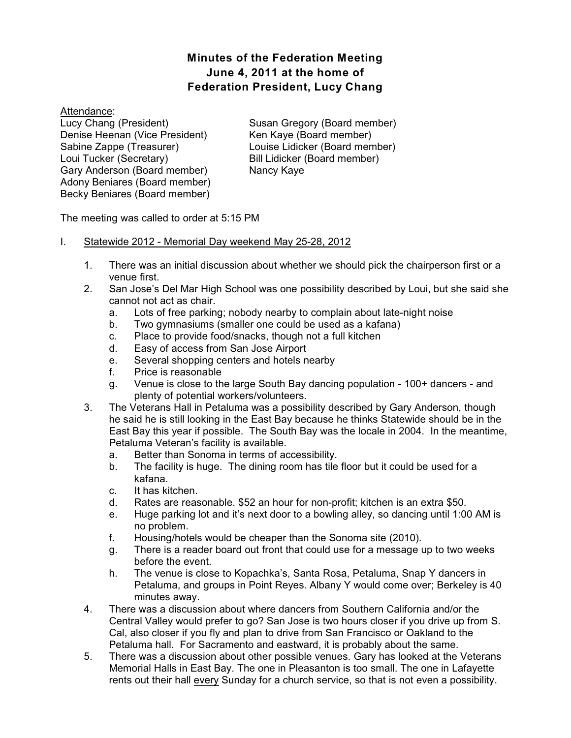# **Minutes of the Federation Meeting June 4, 2011 at the home of Federation President, Lucy Chang**

Attendance: Lucy Chang (President) Denise Heenan (Vice President) Sabine Zappe (Treasurer) Loui Tucker (Secretary) Gary Anderson (Board member) Adony Beniares (Board member) Becky Beniares (Board member)

Susan Gregory (Board member) Ken Kaye (Board member) Louise Lidicker (Board member) Bill Lidicker (Board member) Nancy Kaye

The meeting was called to order at 5:15 PM

- I. Statewide 2012 Memorial Day weekend May 25-28, 2012
	- 1. There was an initial discussion about whether we should pick the chairperson first or a venue first.
	- 2. San Jose's Del Mar High School was one possibility described by Loui, but she said she cannot not act as chair.
		- a. Lots of free parking; nobody nearby to complain about late-night noise
		- b. Two gymnasiums (smaller one could be used as a kafana)
		- c. Place to provide food/snacks, though not a full kitchen
		- d. Easy of access from San Jose Airport
		- e. Several shopping centers and hotels nearby
		- f. Price is reasonable
		- g. Venue is close to the large South Bay dancing population 100+ dancers and plenty of potential workers/volunteers.
	- 3. The Veterans Hall in Petaluma was a possibility described by Gary Anderson, though he said he is still looking in the East Bay because he thinks Statewide should be in the East Bay this year if possible. The South Bay was the locale in 2004. In the meantime, Petaluma Veteran's facility is available.
		- a. Better than Sonoma in terms of accessibility.
		- b. The facility is huge. The dining room has tile floor but it could be used for a kafana.
		- c. It has kitchen.
		- d. Rates are reasonable. \$52 an hour for non-profit; kitchen is an extra \$50.
		- e. Huge parking lot and it's next door to a bowling alley, so dancing until 1:00 AM is no problem.
		- f. Housing/hotels would be cheaper than the Sonoma site (2010).
		- g. There is a reader board out front that could use for a message up to two weeks before the event.
		- h. The venue is close to Kopachka's, Santa Rosa, Petaluma, Snap Y dancers in Petaluma, and groups in Point Reyes. Albany Y would come over; Berkeley is 40 minutes away.
	- 4. There was a discussion about where dancers from Southern California and/or the Central Valley would prefer to go? San Jose is two hours closer if you drive up from S. Cal, also closer if you fly and plan to drive from San Francisco or Oakland to the Petaluma hall. For Sacramento and eastward, it is probably about the same.
	- 5. There was a discussion about other possible venues. Gary has looked at the Veterans Memorial Halls in East Bay. The one in Pleasanton is too small. The one in Lafayette rents out their hall every Sunday for a church service, so that is not even a possibility.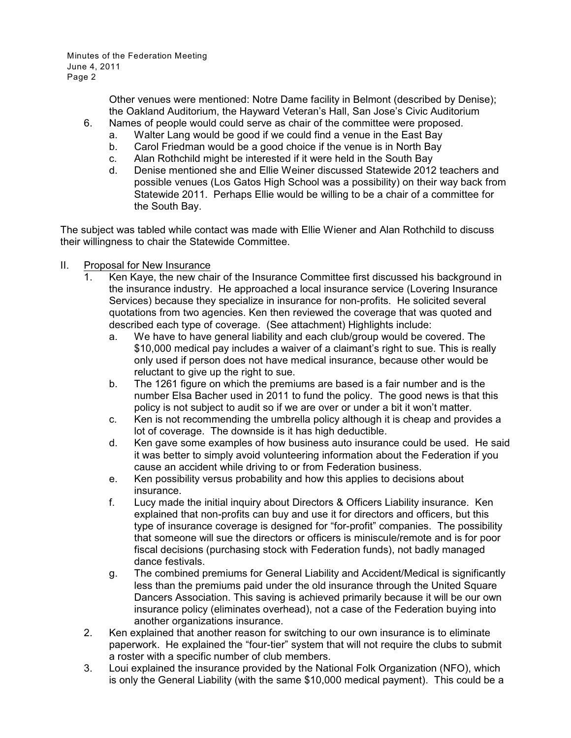> Other venues were mentioned: Notre Dame facility in Belmont (described by Denise); the Oakland Auditorium, the Hayward Veteran's Hall, San Jose's Civic Auditorium

- 6. Names of people would could serve as chair of the committee were proposed.
	- a. Walter Lang would be good if we could find a venue in the East Bay
	- b. Carol Friedman would be a good choice if the venue is in North Bay
	- c. Alan Rothchild might be interested if it were held in the South Bay
	- d. Denise mentioned she and Ellie Weiner discussed Statewide 2012 teachers and possible venues (Los Gatos High School was a possibility) on their way back from Statewide 2011. Perhaps Ellie would be willing to be a chair of a committee for the South Bay.

The subject was tabled while contact was made with Ellie Wiener and Alan Rothchild to discuss their willingness to chair the Statewide Committee.

- II. Proposal for New Insurance
	- 1. Ken Kaye, the new chair of the Insurance Committee first discussed his background in the insurance industry. He approached a local insurance service (Lovering Insurance Services) because they specialize in insurance for non-profits. He solicited several quotations from two agencies. Ken then reviewed the coverage that was quoted and described each type of coverage. (See attachment) Highlights include:
		- a. We have to have general liability and each club/group would be covered. The \$10,000 medical pay includes a waiver of a claimant's right to sue. This is really only used if person does not have medical insurance, because other would be reluctant to give up the right to sue.
		- b. The 1261 figure on which the premiums are based is a fair number and is the number Elsa Bacher used in 2011 to fund the policy. The good news is that this policy is not subject to audit so if we are over or under a bit it won't matter.
		- c. Ken is not recommending the umbrella policy although it is cheap and provides a lot of coverage. The downside is it has high deductible.
		- d. Ken gave some examples of how business auto insurance could be used. He said it was better to simply avoid volunteering information about the Federation if you cause an accident while driving to or from Federation business.
		- e. Ken possibility versus probability and how this applies to decisions about insurance.
		- f. Lucy made the initial inquiry about Directors & Officers Liability insurance. Ken explained that non-profits can buy and use it for directors and officers, but this type of insurance coverage is designed for "for-profit" companies. The possibility that someone will sue the directors or officers is miniscule/remote and is for poor fiscal decisions (purchasing stock with Federation funds), not badly managed dance festivals.
		- g. The combined premiums for General Liability and Accident/Medical is significantly less than the premiums paid under the old insurance through the United Square Dancers Association. This saving is achieved primarily because it will be our own insurance policy (eliminates overhead), not a case of the Federation buying into another organizations insurance.
	- 2. Ken explained that another reason for switching to our own insurance is to eliminate paperwork. He explained the "four-tier" system that will not require the clubs to submit a roster with a specific number of club members.
	- 3. Loui explained the insurance provided by the National Folk Organization (NFO), which is only the General Liability (with the same \$10,000 medical payment). This could be a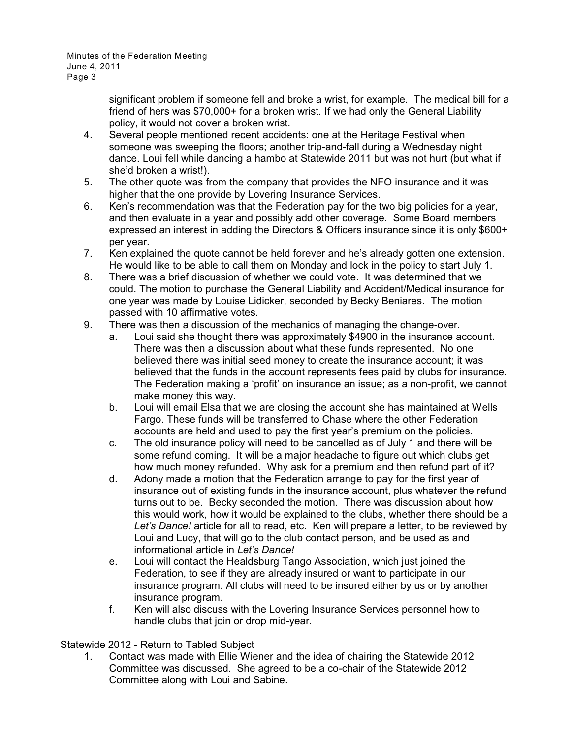> significant problem if someone fell and broke a wrist, for example. The medical bill for a friend of hers was \$70,000+ for a broken wrist. If we had only the General Liability policy, it would not cover a broken wrist.

- 4. Several people mentioned recent accidents: one at the Heritage Festival when someone was sweeping the floors; another trip-and-fall during a Wednesday night dance. Loui fell while dancing a hambo at Statewide 2011 but was not hurt (but what if she'd broken a wrist!).
- 5. The other quote was from the company that provides the NFO insurance and it was higher that the one provide by Lovering Insurance Services.
- 6. Ken's recommendation was that the Federation pay for the two big policies for a year, and then evaluate in a year and possibly add other coverage. Some Board members expressed an interest in adding the Directors & Officers insurance since it is only \$600+ per year.
- 7. Ken explained the quote cannot be held forever and he's already gotten one extension. He would like to be able to call them on Monday and lock in the policy to start July 1.
- 8. There was a brief discussion of whether we could vote. It was determined that we could. The motion to purchase the General Liability and Accident/Medical insurance for one year was made by Louise Lidicker, seconded by Becky Beniares. The motion passed with 10 affirmative votes.
- 9. There was then a discussion of the mechanics of managing the change-over.
	- a. Loui said she thought there was approximately \$4900 in the insurance account. There was then a discussion about what these funds represented. No one believed there was initial seed money to create the insurance account; it was believed that the funds in the account represents fees paid by clubs for insurance. The Federation making a 'profit' on insurance an issue; as a non-profit, we cannot make money this way.
	- b. Loui will email Elsa that we are closing the account she has maintained at Wells Fargo. These funds will be transferred to Chase where the other Federation accounts are held and used to pay the first year's premium on the policies.
	- c. The old insurance policy will need to be cancelled as of July 1 and there will be some refund coming. It will be a major headache to figure out which clubs get how much money refunded. Why ask for a premium and then refund part of it?
	- d. Adony made a motion that the Federation arrange to pay for the first year of insurance out of existing funds in the insurance account, plus whatever the refund turns out to be. Becky seconded the motion. There was discussion about how this would work, how it would be explained to the clubs, whether there should be a *Let's Dance!* article for all to read, etc. Ken will prepare a letter, to be reviewed by Loui and Lucy, that will go to the club contact person, and be used as and informational article in *Let's Dance!*
	- e. Loui will contact the Healdsburg Tango Association, which just joined the Federation, to see if they are already insured or want to participate in our insurance program. All clubs will need to be insured either by us or by another insurance program.
	- f. Ken will also discuss with the Lovering Insurance Services personnel how to handle clubs that join or drop mid-year.

## Statewide 2012 - Return to Tabled Subject

1. Contact was made with Ellie Wiener and the idea of chairing the Statewide 2012 Committee was discussed. She agreed to be a co-chair of the Statewide 2012 Committee along with Loui and Sabine.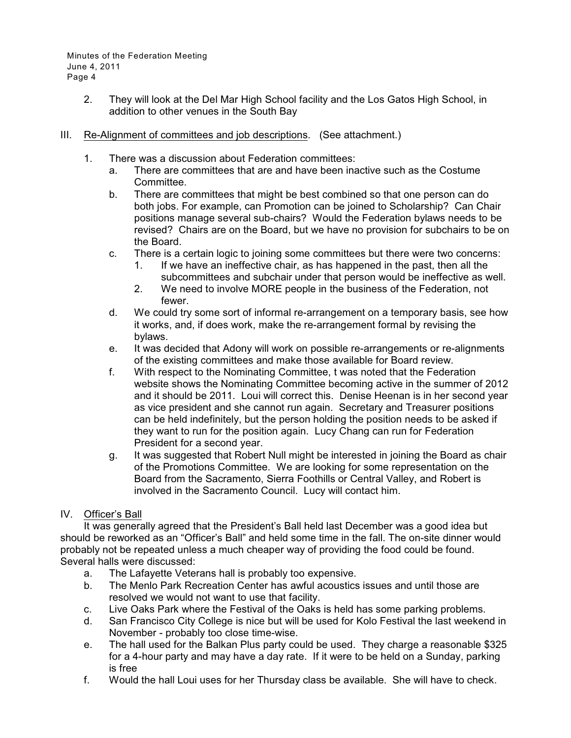- 2. They will look at the Del Mar High School facility and the Los Gatos High School, in addition to other venues in the South Bay
- III. Re-Alignment of committees and job descriptions. (See attachment.)
	- 1. There was a discussion about Federation committees:
		- a. There are committees that are and have been inactive such as the Costume Committee.
		- b. There are committees that might be best combined so that one person can do both jobs. For example, can Promotion can be joined to Scholarship? Can Chair positions manage several sub-chairs? Would the Federation bylaws needs to be revised? Chairs are on the Board, but we have no provision for subchairs to be on the Board.
		- c. There is a certain logic to joining some committees but there were two concerns:
			- 1. If we have an ineffective chair, as has happened in the past, then all the subcommittees and subchair under that person would be ineffective as well.
			- 2. We need to involve MORE people in the business of the Federation, not fewer.
		- d. We could try some sort of informal re-arrangement on a temporary basis, see how it works, and, if does work, make the re-arrangement formal by revising the bylaws.
		- e. It was decided that Adony will work on possible re-arrangements or re-alignments of the existing committees and make those available for Board review.
		- f. With respect to the Nominating Committee, t was noted that the Federation website shows the Nominating Committee becoming active in the summer of 2012 and it should be 2011. Loui will correct this. Denise Heenan is in her second year as vice president and she cannot run again. Secretary and Treasurer positions can be held indefinitely, but the person holding the position needs to be asked if they want to run for the position again. Lucy Chang can run for Federation President for a second year.
		- g. It was suggested that Robert Null might be interested in joining the Board as chair of the Promotions Committee. We are looking for some representation on the Board from the Sacramento, Sierra Foothills or Central Valley, and Robert is involved in the Sacramento Council. Lucy will contact him.

## IV. Officer's Ball

It was generally agreed that the President's Ball held last December was a good idea but should be reworked as an "Officer's Ball" and held some time in the fall. The on-site dinner would probably not be repeated unless a much cheaper way of providing the food could be found. Several halls were discussed:

- a. The Lafayette Veterans hall is probably too expensive.
- b. The Menlo Park Recreation Center has awful acoustics issues and until those are resolved we would not want to use that facility.
- c. Live Oaks Park where the Festival of the Oaks is held has some parking problems.
- d. San Francisco City College is nice but will be used for Kolo Festival the last weekend in November - probably too close time-wise.
- e. The hall used for the Balkan Plus party could be used. They charge a reasonable \$325 for a 4-hour party and may have a day rate. If it were to be held on a Sunday, parking is free
- f. Would the hall Loui uses for her Thursday class be available. She will have to check.